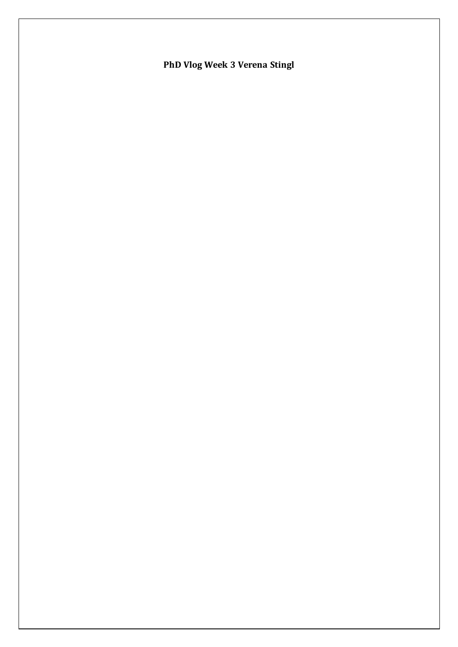PhD Vlog Week 3 Verena Stingl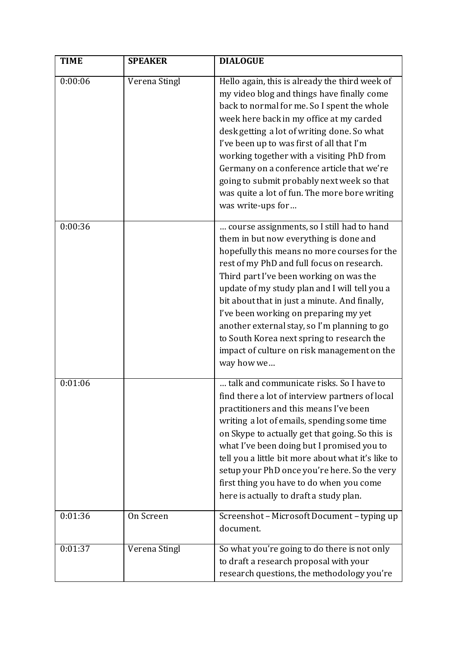| <b>TIME</b> | <b>SPEAKER</b> | <b>DIALOGUE</b>                                                                                                                                                                                                                                                                                                                                                                                                                                                                                                                     |
|-------------|----------------|-------------------------------------------------------------------------------------------------------------------------------------------------------------------------------------------------------------------------------------------------------------------------------------------------------------------------------------------------------------------------------------------------------------------------------------------------------------------------------------------------------------------------------------|
| 0:00:06     | Verena Stingl  | Hello again, this is already the third week of<br>my video blog and things have finally come<br>back to normal for me. So I spent the whole<br>week here back in my office at my carded<br>desk getting a lot of writing done. So what<br>I've been up to was first of all that I'm<br>working together with a visiting PhD from<br>Germany on a conference article that we're<br>going to submit probably next week so that<br>was quite a lot of fun. The more bore writing<br>was write-ups for                                  |
| 0:00:36     |                | course assignments, so I still had to hand<br>them in but now everything is done and<br>hopefully this means no more courses for the<br>rest of my PhD and full focus on research.<br>Third part I've been working on was the<br>update of my study plan and I will tell you a<br>bit about that in just a minute. And finally,<br>I've been working on preparing my yet<br>another external stay, so I'm planning to go<br>to South Korea next spring to research the<br>impact of culture on risk management on the<br>way how we |
| 0:01:06     |                | talk and communicate risks. So I have to<br>find there a lot of interview partners of local<br>practitioners and this means I've been<br>writing a lot of emails, spending some time<br>on Skype to actually get that going. So this is<br>what I've been doing but I promised you to<br>tell you a little bit more about what it's like to<br>setup your PhD once you're here. So the very<br>first thing you have to do when you come<br>here is actually to draft a study plan.                                                  |
| 0:01:36     | On Screen      | Screenshot - Microsoft Document - typing up<br>document.                                                                                                                                                                                                                                                                                                                                                                                                                                                                            |
| 0:01:37     | Verena Stingl  | So what you're going to do there is not only<br>to draft a research proposal with your<br>research questions, the methodology you're                                                                                                                                                                                                                                                                                                                                                                                                |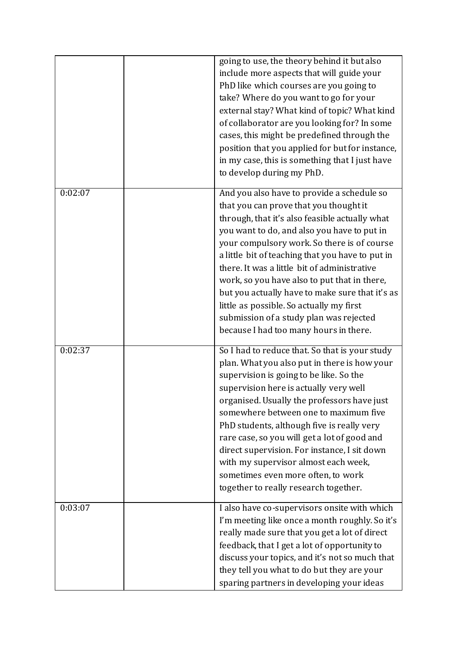|         | going to use, the theory behind it but also                                             |
|---------|-----------------------------------------------------------------------------------------|
|         | include more aspects that will guide your                                               |
|         | PhD like which courses are you going to                                                 |
|         | take? Where do you want to go for your                                                  |
|         | external stay? What kind of topic? What kind                                            |
|         | of collaborator are you looking for? In some                                            |
|         | cases, this might be predefined through the                                             |
|         | position that you applied for but for instance,                                         |
|         | in my case, this is something that I just have                                          |
|         | to develop during my PhD.                                                               |
|         |                                                                                         |
| 0:02:07 | And you also have to provide a schedule so                                              |
|         | that you can prove that you thought it                                                  |
|         | through, that it's also feasible actually what                                          |
|         | you want to do, and also you have to put in                                             |
|         | your compulsory work. So there is of course                                             |
|         | a little bit of teaching that you have to put in                                        |
|         | there. It was a little bit of administrative                                            |
|         | work, so you have also to put that in there,                                            |
|         | but you actually have to make sure that it's as                                         |
|         | little as possible. So actually my first                                                |
|         | submission of a study plan was rejected                                                 |
|         | because I had too many hours in there.                                                  |
| 0:02:37 |                                                                                         |
|         | So I had to reduce that. So that is your study                                          |
|         | plan. What you also put in there is how your<br>supervision is going to be like. So the |
|         | supervision here is actually very well                                                  |
|         |                                                                                         |
|         | organised. Usually the professors have just<br>somewhere between one to maximum five    |
|         | PhD students, although five is really very                                              |
|         | rare case, so you will get a lot of good and                                            |
|         | direct supervision. For instance, I sit down                                            |
|         | with my supervisor almost each week,                                                    |
|         | sometimes even more often, to work                                                      |
|         | together to really research together.                                                   |
|         |                                                                                         |
| 0:03:07 | I also have co-supervisors onsite with which                                            |
|         | I'm meeting like once a month roughly. So it's                                          |
|         | really made sure that you get a lot of direct                                           |
|         | feedback, that I get a lot of opportunity to                                            |
|         | discuss your topics, and it's not so much that                                          |
|         | they tell you what to do but they are your                                              |
|         | sparing partners in developing your ideas                                               |